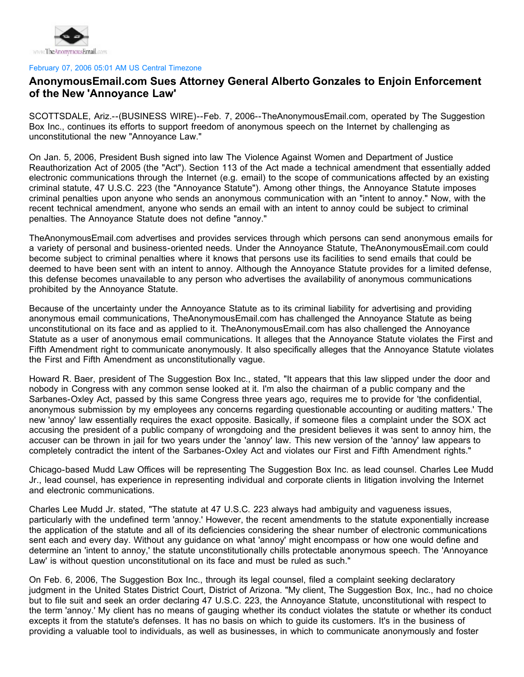

## February 07, 2006 05:01 AM US Central Timezone

## **AnonymousEmail.com Sues Attorney General Alberto Gonzales to Enjoin Enforcement of the New 'Annoyance Law'**

SCOTTSDALE, Ariz.--(BUSINESS WIRE)--Feb. 7, 2006--TheAnonymousEmail.com, operated by The Suggestion Box Inc., continues its efforts to support freedom of anonymous speech on the Internet by challenging as unconstitutional the new "Annoyance Law."

On Jan. 5, 2006, President Bush signed into law The Violence Against Women and Department of Justice Reauthorization Act of 2005 (the "Act"). Section 113 of the Act made a technical amendment that essentially added electronic communications through the Internet (e.g. email) to the scope of communications affected by an existing criminal statute, 47 U.S.C. 223 (the "Annoyance Statute"). Among other things, the Annoyance Statute imposes criminal penalties upon anyone who sends an anonymous communication with an "intent to annoy." Now, with the recent technical amendment, anyone who sends an email with an intent to annoy could be subject to criminal penalties. The Annoyance Statute does not define "annoy."

TheAnonymousEmail.com advertises and provides services through which persons can send anonymous emails for a variety of personal and business-oriented needs. Under the Annoyance Statute, TheAnonymousEmail.com could become subject to criminal penalties where it knows that persons use its facilities to send emails that could be deemed to have been sent with an intent to annoy. Although the Annoyance Statute provides for a limited defense, this defense becomes unavailable to any person who advertises the availability of anonymous communications prohibited by the Annoyance Statute.

Because of the uncertainty under the Annoyance Statute as to its criminal liability for advertising and providing anonymous email communications, TheAnonymousEmail.com has challenged the Annoyance Statute as being unconstitutional on its face and as applied to it. TheAnonymousEmail.com has also challenged the Annoyance Statute as a user of anonymous email communications. It alleges that the Annoyance Statute violates the First and Fifth Amendment right to communicate anonymously. It also specifically alleges that the Annoyance Statute violates the First and Fifth Amendment as unconstitutionally vague.

Howard R. Baer, president of The Suggestion Box Inc., stated, "It appears that this law slipped under the door and nobody in Congress with any common sense looked at it. I'm also the chairman of a public company and the Sarbanes-Oxley Act, passed by this same Congress three years ago, requires me to provide for 'the confidential, anonymous submission by my employees any concerns regarding questionable accounting or auditing matters.' The new 'annoy' law essentially requires the exact opposite. Basically, if someone files a complaint under the SOX act accusing the president of a public company of wrongdoing and the president believes it was sent to annoy him, the accuser can be thrown in jail for two years under the 'annoy' law. This new version of the 'annoy' law appears to completely contradict the intent of the Sarbanes-Oxley Act and violates our First and Fifth Amendment rights."

Chicago-based Mudd Law Offices will be representing The Suggestion Box Inc. as lead counsel. Charles Lee Mudd Jr., lead counsel, has experience in representing individual and corporate clients in litigation involving the Internet and electronic communications.

Charles Lee Mudd Jr. stated, "The statute at 47 U.S.C. 223 always had ambiguity and vagueness issues, particularly with the undefined term 'annoy.' However, the recent amendments to the statute exponentially increase the application of the statute and all of its deficiencies considering the shear number of electronic communications sent each and every day. Without any guidance on what 'annoy' might encompass or how one would define and determine an 'intent to annoy,' the statute unconstitutionally chills protectable anonymous speech. The 'Annoyance Law' is without question unconstitutional on its face and must be ruled as such."

On Feb. 6, 2006, The Suggestion Box Inc., through its legal counsel, filed a complaint seeking declaratory judgment in the United States District Court, District of Arizona. "My client, The Suggestion Box, Inc., had no choice but to file suit and seek an order declaring 47 U.S.C. 223, the Annoyance Statute, unconstitutional with respect to the term 'annoy.' My client has no means of gauging whether its conduct violates the statute or whether its conduct excepts it from the statute's defenses. It has no basis on which to guide its customers. It's in the business of providing a valuable tool to individuals, as well as businesses, in which to communicate anonymously and foster